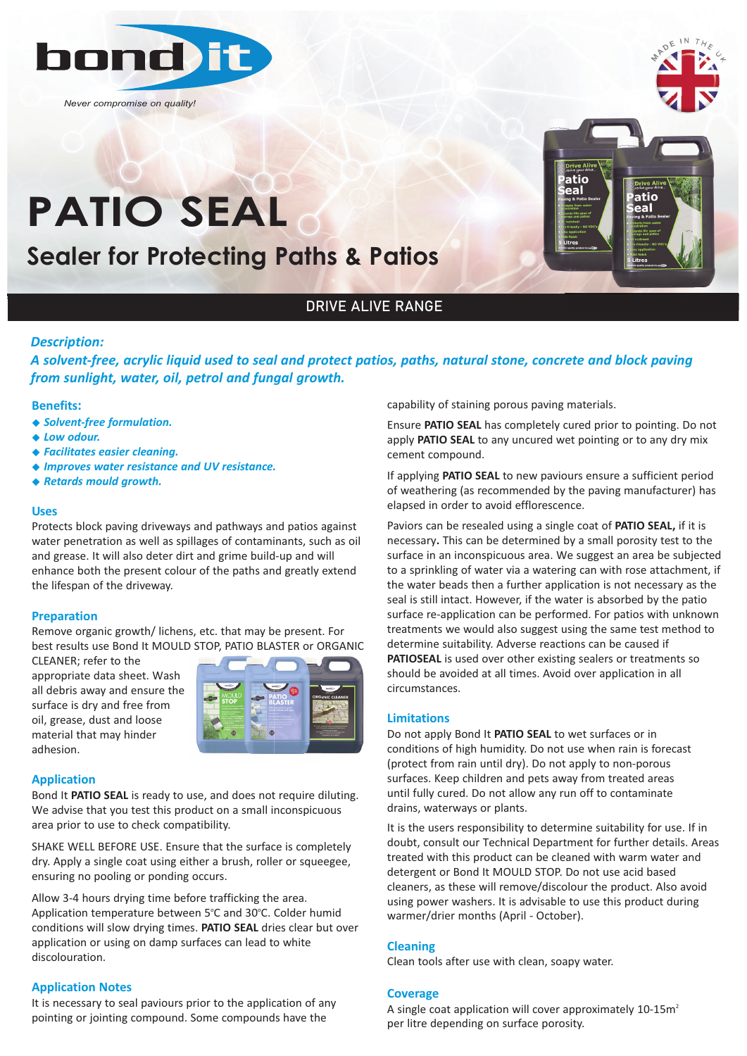

*Never compromise on quality!*

# **PATIO SEAL Sealer for Protecting P**

**Sealer for Protecting Paths & Patios**



## DRIVE ALIVE RANGE

#### *Description:*

*A solvent‐free, acrylic liquid used to seal and protect patios, paths, natural stone, concrete and block paving from sunlight, water, oil, petrol and fungal growth.*

#### **Benefits:**

- ◆ Solvent-free formulation.
- ◆ Low odour.
- <sup>u</sup> *Facilitates easier cleaning.*
- <sup>u</sup> *Improves water resistance and UV resistance.*
- <sup>u</sup> *Retards mould growth.*

#### **Uses**

Protects block paving driveways and pathways and patios against water penetration as well as spillages of contaminants, such as oil and grease. It will also deter dirt and grime build-up and will enhance both the present colour of the paths and greatly extend the lifespan of the driveway.

#### **Preparation**

Remove organic growth/ lichens, etc. that may be present. For best results use Bond It MOULD STOP, PATIO BLASTER or ORGANIC

CLEANER; refer to the appropriate data sheet. Wash all debris away and ensure the surface is dry and free from oil, grease, dust and loose material that may hinder adhesion.



#### **Application**

Bond It **PATIO SEAL** is ready to use, and does not require diluting. We advise that you test this product on a small inconspicuous area prior to use to check compatibility.

SHAKE WELL BEFORE USE. Ensure that the surface is completely dry. Apply a single coat using either a brush, roller or squeegee, ensuring no pooling or ponding occurs.

Allow 3-4 hours drying time before trafficking the area. Application temperature between 5°C and 30°C. Colder humid conditions will slow drying times. **PATIO SEAL** dries clear but over application or using on damp surfaces can lead to white discolouration.

#### **Application Notes**

It is necessary to seal paviours prior to the application of any pointing or jointing compound. Some compounds have the

capability of staining porous paving materials.

Ensure **PATIO SEAL** has completely cured prior to pointing. Do not apply **PATIO SEAL** to any uncured wet pointing or to any dry mix cement compound.

If applying **PATIO SEAL** to new paviours ensure a sufficient period of weathering (as recommended by the paving manufacturer) has elapsed in order to avoid efflorescence.

Paviors can be resealed using a single coat of **PATIO SEAL,** if it is necessary**.** This can be determined by a small porosity test to the surface in an inconspicuous area. We suggest an area be subjected to a sprinkling of water via a watering can with rose attachment, if the water beads then a further application is not necessary as the seal is still intact. However, if the water is absorbed by the patio surface re-application can be performed. For patios with unknown treatments we would also suggest using the same test method to determine suitability. Adverse reactions can be caused if **PATIOSEAL** is used over other existing sealers or treatments so should be avoided at all times. Avoid over application in all circumstances.

#### **Limitations**

Do not apply Bond It **PATIO SEAL** to wet surfaces or in conditions of high humidity. Do not use when rain is forecast (protect from rain until dry). Do not apply to non-porous surfaces. Keep children and pets away from treated areas until fully cured. Do not allow any run off to contaminate drains, waterways or plants.

It is the users responsibility to determine suitability for use. If in doubt, consult our Technical Department for further details. Areas treated with this product can be cleaned with warm water and detergent or Bond It MOULD STOP. Do not use acid based cleaners, as these will remove/discolour the product. Also avoid using power washers. It is advisable to use this product during warmer/drier months (April - October).

#### **Cleaning**

Clean tools after use with clean, soapy water.

#### **Coverage**

A single coat application will cover approximately 10-15m<sup>2</sup> per litre depending on surface porosity.